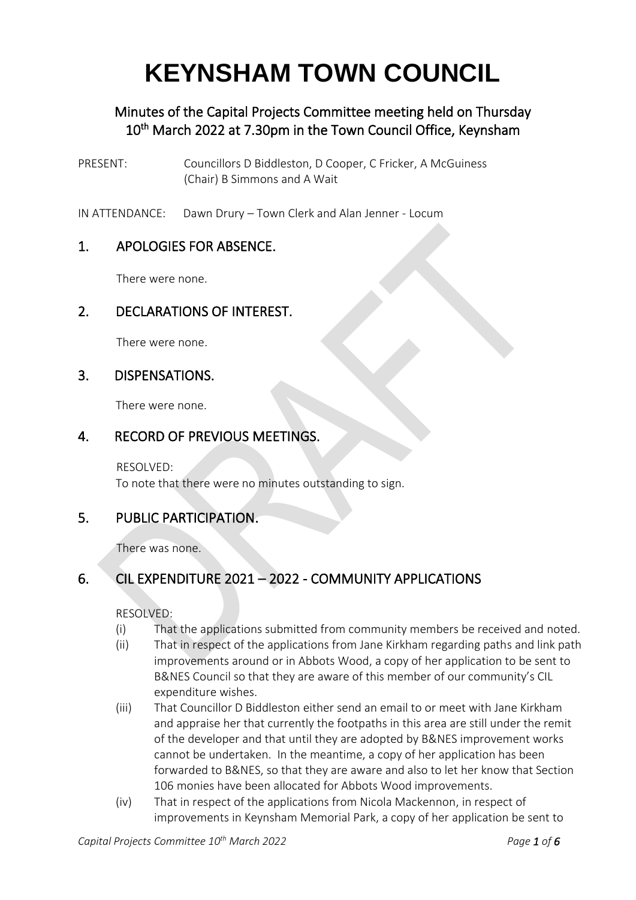# **KEYNSHAM TOWN COUNCIL**

# Minutes of the Capital Projects Committee meeting held on Thursday 10<sup>th</sup> March 2022 at 7.30pm in the Town Council Office, Keynsham

- PRESENT: Councillors D Biddleston, D Cooper, C Fricker, A McGuiness (Chair) B Simmons and A Wait
- IN ATTENDANCE: Dawn Drury Town Clerk and Alan Jenner Locum

#### 1. APOLOGIES FOR ABSENCE.

There were none.

#### 2. DECLARATIONS OF INTEREST.

There were none.

#### 3. DISPENSATIONS.

There were none.

## 4. RECORD OF PREVIOUS MEETINGS.

RESOLVED: To note that there were no minutes outstanding to sign.

## 5. PUBLIC PARTICIPATION.

There was none.

# 6. CIL EXPENDITURE 2021 – 2022 - COMMUNITY APPLICATIONS

RESOLVED:

- (i) That the applications submitted from community members be received and noted.
- (ii) That in respect of the applications from Jane Kirkham regarding paths and link path improvements around or in Abbots Wood, a copy of her application to be sent to B&NES Council so that they are aware of this member of our community's CIL expenditure wishes.
- (iii) That Councillor D Biddleston either send an email to or meet with Jane Kirkham and appraise her that currently the footpaths in this area are still under the remit of the developer and that until they are adopted by B&NES improvement works cannot be undertaken. In the meantime, a copy of her application has been forwarded to B&NES, so that they are aware and also to let her know that Section 106 monies have been allocated for Abbots Wood improvements.
- (iv) That in respect of the applications from Nicola Mackennon, in respect of improvements in Keynsham Memorial Park, a copy of her application be sent to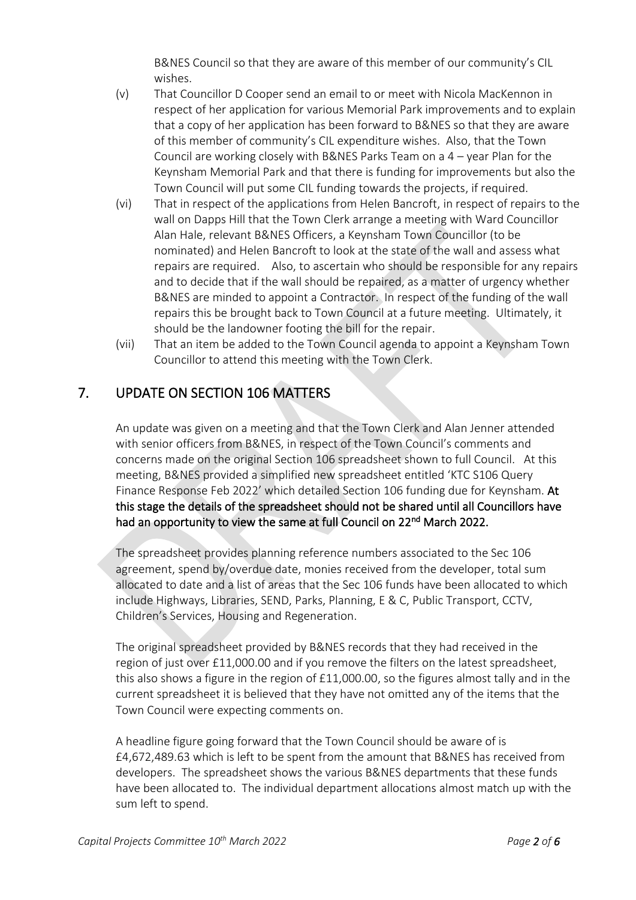B&NES Council so that they are aware of this member of our community's CIL wishes.

- (v) That Councillor D Cooper send an email to or meet with Nicola MacKennon in respect of her application for various Memorial Park improvements and to explain that a copy of her application has been forward to B&NES so that they are aware of this member of community's CIL expenditure wishes. Also, that the Town Council are working closely with B&NES Parks Team on a 4 – year Plan for the Keynsham Memorial Park and that there is funding for improvements but also the Town Council will put some CIL funding towards the projects, if required.
- (vi) That in respect of the applications from Helen Bancroft, in respect of repairs to the wall on Dapps Hill that the Town Clerk arrange a meeting with Ward Councillor Alan Hale, relevant B&NES Officers, a Keynsham Town Councillor (to be nominated) and Helen Bancroft to look at the state of the wall and assess what repairs are required. Also, to ascertain who should be responsible for any repairs and to decide that if the wall should be repaired, as a matter of urgency whether B&NES are minded to appoint a Contractor. In respect of the funding of the wall repairs this be brought back to Town Council at a future meeting. Ultimately, it should be the landowner footing the bill for the repair.
- (vii) That an item be added to the Town Council agenda to appoint a Keynsham Town Councillor to attend this meeting with the Town Clerk.

# 7. UPDATE ON SECTION 106 MATTERS

An update was given on a meeting and that the Town Clerk and Alan Jenner attended with senior officers from B&NES, in respect of the Town Council's comments and concerns made on the original Section 106 spreadsheet shown to full Council. At this meeting, B&NES provided a simplified new spreadsheet entitled 'KTC S106 Query Finance Response Feb 2022' which detailed Section 106 funding due for Keynsham. At this stage the details of the spreadsheet should not be shared until all Councillors have had an opportunity to view the same at full Council on 22<sup>nd</sup> March 2022.

The spreadsheet provides planning reference numbers associated to the Sec 106 agreement, spend by/overdue date, monies received from the developer, total sum allocated to date and a list of areas that the Sec 106 funds have been allocated to which include Highways, Libraries, SEND, Parks, Planning, E & C, Public Transport, CCTV, Children's Services, Housing and Regeneration.

The original spreadsheet provided by B&NES records that they had received in the region of just over £11,000.00 and if you remove the filters on the latest spreadsheet, this also shows a figure in the region of £11,000.00, so the figures almost tally and in the current spreadsheet it is believed that they have not omitted any of the items that the Town Council were expecting comments on.

A headline figure going forward that the Town Council should be aware of is £4,672,489.63 which is left to be spent from the amount that B&NES has received from developers. The spreadsheet shows the various B&NES departments that these funds have been allocated to. The individual department allocations almost match up with the sum left to spend.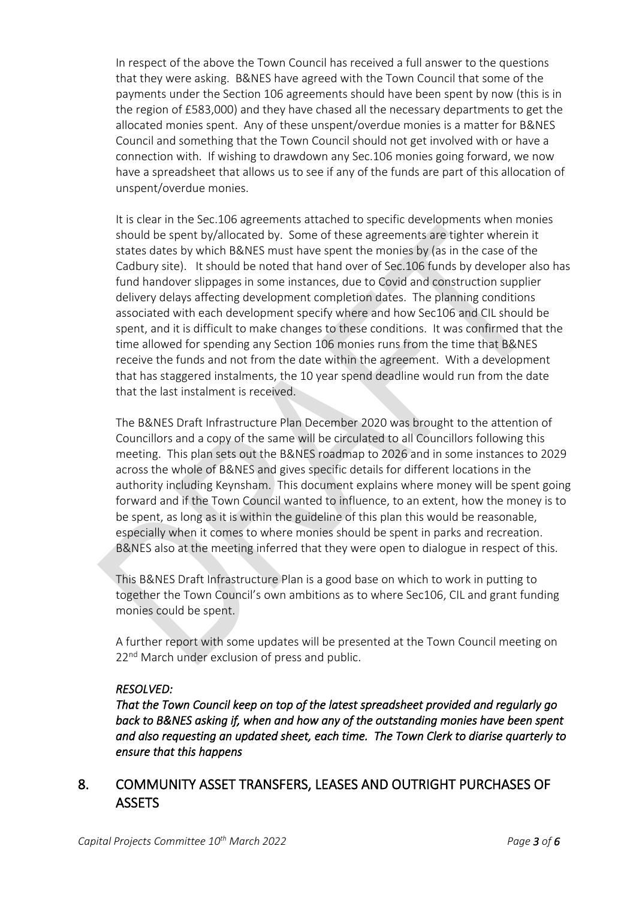In respect of the above the Town Council has received a full answer to the questions that they were asking. B&NES have agreed with the Town Council that some of the payments under the Section 106 agreements should have been spent by now (this is in the region of £583,000) and they have chased all the necessary departments to get the allocated monies spent. Any of these unspent/overdue monies is a matter for B&NES Council and something that the Town Council should not get involved with or have a connection with. If wishing to drawdown any Sec.106 monies going forward, we now have a spreadsheet that allows us to see if any of the funds are part of this allocation of unspent/overdue monies.

It is clear in the Sec.106 agreements attached to specific developments when monies should be spent by/allocated by. Some of these agreements are tighter wherein it states dates by which B&NES must have spent the monies by (as in the case of the Cadbury site). It should be noted that hand over of Sec.106 funds by developer also has fund handover slippages in some instances, due to Covid and construction supplier delivery delays affecting development completion dates. The planning conditions associated with each development specify where and how Sec106 and CIL should be spent, and it is difficult to make changes to these conditions. It was confirmed that the time allowed for spending any Section 106 monies runs from the time that B&NES receive the funds and not from the date within the agreement. With a development that has staggered instalments, the 10 year spend deadline would run from the date that the last instalment is received.

The B&NES Draft Infrastructure Plan December 2020 was brought to the attention of Councillors and a copy of the same will be circulated to all Councillors following this meeting. This plan sets out the B&NES roadmap to 2026 and in some instances to 2029 across the whole of B&NES and gives specific details for different locations in the authority including Keynsham. This document explains where money will be spent going forward and if the Town Council wanted to influence, to an extent, how the money is to be spent, as long as it is within the guideline of this plan this would be reasonable, especially when it comes to where monies should be spent in parks and recreation. B&NES also at the meeting inferred that they were open to dialogue in respect of this.

This B&NES Draft Infrastructure Plan is a good base on which to work in putting to together the Town Council's own ambitions as to where Sec106, CIL and grant funding monies could be spent.

A further report with some updates will be presented at the Town Council meeting on 22<sup>nd</sup> March under exclusion of press and public.

#### *RESOLVED:*

*That the Town Council keep on top of the latest spreadsheet provided and regularly go back to B&NES asking if, when and how any of the outstanding monies have been spent and also requesting an updated sheet, each time. The Town Clerk to diarise quarterly to ensure that this happens*

#### 8. COMMUNITY ASSET TRANSFERS, LEASES AND OUTRIGHT PURCHASES OF **ASSETS**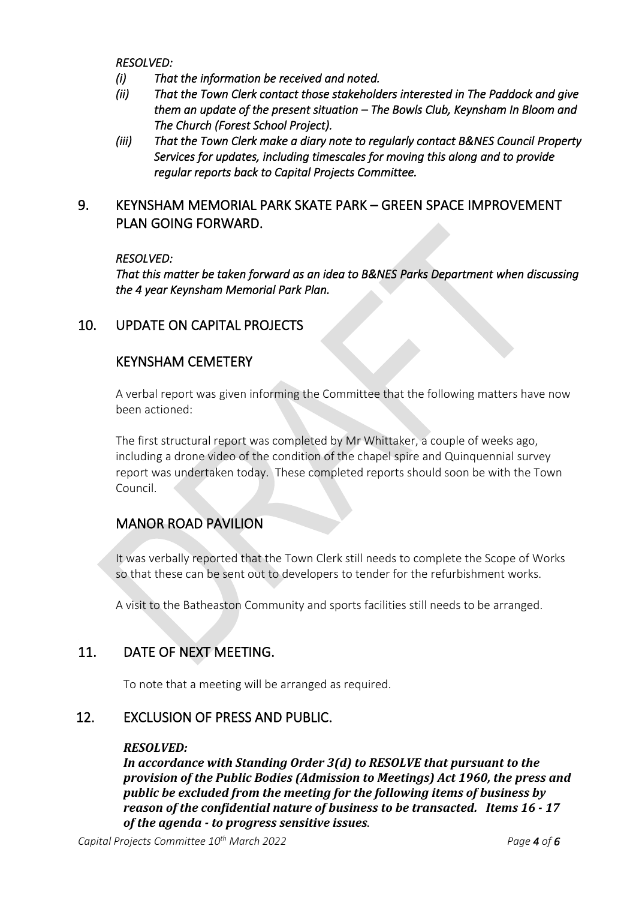*RESOLVED:* 

- *(i) That the information be received and noted.*
- *(ii) That the Town Clerk contact those stakeholders interested in The Paddock and give them an update of the present situation – The Bowls Club, Keynsham In Bloom and The Church (Forest School Project).*
- *(iii) That the Town Clerk make a diary note to regularly contact B&NES Council Property Services for updates, including timescales for moving this along and to provide regular reports back to Capital Projects Committee.*

#### 9. KEYNSHAM MEMORIAL PARK SKATE PARK – GREEN SPACE IMPROVEMENT PLAN GOING FORWARD.

#### *RESOLVED:*

*That this matter be taken forward as an idea to B&NES Parks Department when discussing the 4 year Keynsham Memorial Park Plan.* 

#### 10. UPDATE ON CAPITAL PROJECTS

#### KEYNSHAM CEMETERY

A verbal report was given informing the Committee that the following matters have now been actioned:

The first structural report was completed by Mr Whittaker, a couple of weeks ago, including a drone video of the condition of the chapel spire and Quinquennial survey report was undertaken today. These completed reports should soon be with the Town Council.

## MANOR ROAD PAVILION

It was verbally reported that the Town Clerk still needs to complete the Scope of Works so that these can be sent out to developers to tender for the refurbishment works.

A visit to the Batheaston Community and sports facilities still needs to be arranged.

## 11. DATE OF NEXT MEETING.

To note that a meeting will be arranged as required.

#### 12. EXCLUSION OF PRESS AND PUBLIC.

#### *RESOLVED:*

*In accordance with Standing Order 3(d) to RESOLVE that pursuant to the provision of the Public Bodies (Admission to Meetings) Act 1960, the press and public be excluded from the meeting for the following items of business by reason of the confidential nature of business to be transacted. Items 16 - 17 of the agenda - to progress sensitive issues*.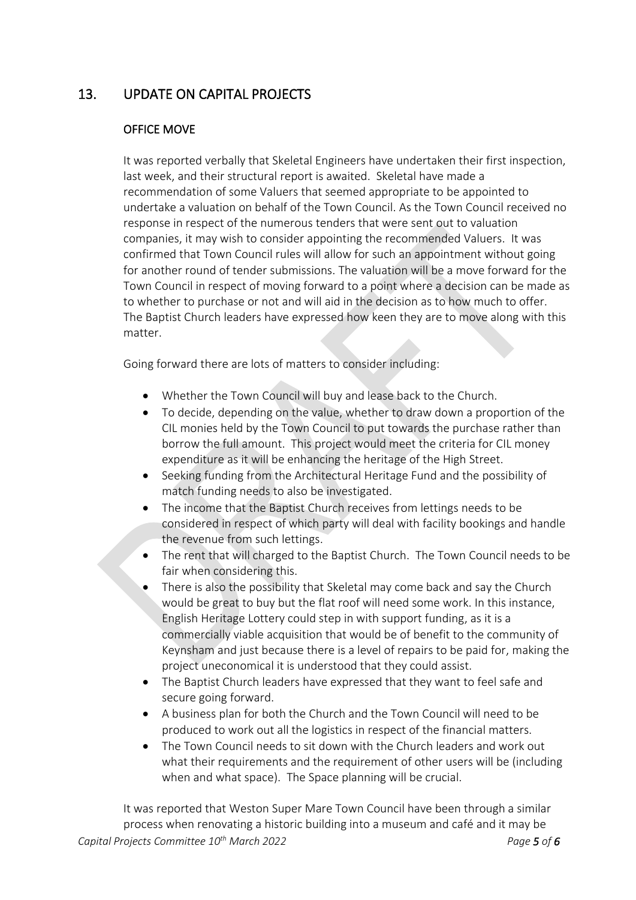## 13. UPDATE ON CAPITAL PROJECTS

#### OFFICE MOVE

It was reported verbally that Skeletal Engineers have undertaken their first inspection, last week, and their structural report is awaited. Skeletal have made a recommendation of some Valuers that seemed appropriate to be appointed to undertake a valuation on behalf of the Town Council. As the Town Council received no response in respect of the numerous tenders that were sent out to valuation companies, it may wish to consider appointing the recommended Valuers. It was confirmed that Town Council rules will allow for such an appointment without going for another round of tender submissions. The valuation will be a move forward for the Town Council in respect of moving forward to a point where a decision can be made as to whether to purchase or not and will aid in the decision as to how much to offer. The Baptist Church leaders have expressed how keen they are to move along with this matter.

Going forward there are lots of matters to consider including:

- Whether the Town Council will buy and lease back to the Church.
- To decide, depending on the value, whether to draw down a proportion of the CIL monies held by the Town Council to put towards the purchase rather than borrow the full amount. This project would meet the criteria for CIL money expenditure as it will be enhancing the heritage of the High Street.
- Seeking funding from the Architectural Heritage Fund and the possibility of match funding needs to also be investigated.
- The income that the Baptist Church receives from lettings needs to be considered in respect of which party will deal with facility bookings and handle the revenue from such lettings.
- The rent that will charged to the Baptist Church. The Town Council needs to be fair when considering this.
- There is also the possibility that Skeletal may come back and say the Church would be great to buy but the flat roof will need some work. In this instance, English Heritage Lottery could step in with support funding, as it is a commercially viable acquisition that would be of benefit to the community of Keynsham and just because there is a level of repairs to be paid for, making the project uneconomical it is understood that they could assist.
- The Baptist Church leaders have expressed that they want to feel safe and secure going forward.
- A business plan for both the Church and the Town Council will need to be produced to work out all the logistics in respect of the financial matters.
- The Town Council needs to sit down with the Church leaders and work out what their requirements and the requirement of other users will be (including when and what space). The Space planning will be crucial.

*Capital Projects Committee 10th March 2022 Page 5 of 6* It was reported that Weston Super Mare Town Council have been through a similar process when renovating a historic building into a museum and café and it may be